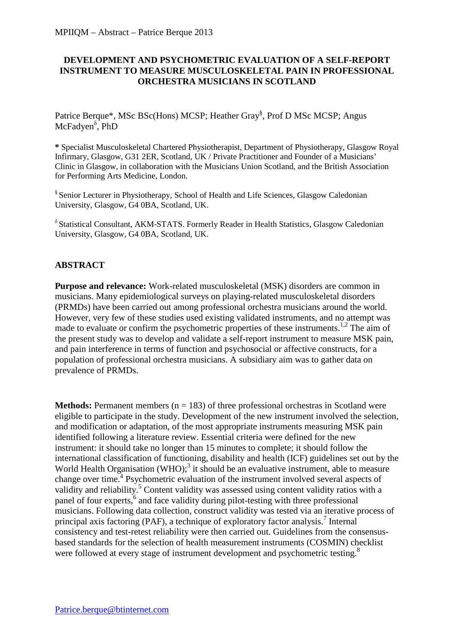## **DEVELOPMENT AND PSYCHOMETRIC EVALUATION OF A SELF-REPORT INSTRUMENT TO MEASURE MUSCULOSKELETAL PAIN IN PROFESSIONAL ORCHESTRA MUSICIANS IN SCOTLAND**

Patrice Berque\*, MSc BSc(Hons) MCSP; Heather Gray<sup>§</sup>, Prof D MSc MCSP; Angus McFadyen<sup>8</sup>, PhD

**\*** Specialist Musculoskeletal Chartered Physiotherapist, Department of Physiotherapy, Glasgow Royal Infirmary, Glasgow, G31 2ER, Scotland, UK / Private Practitioner and Founder of a Musicians' Clinic in Glasgow, in collaboration with the Musicians Union Scotland, and the British Association for Performing Arts Medicine, London.

§ Senior Lecturer in Physiotherapy, School of Health and Life Sciences, Glasgow Caledonian University, Glasgow, G4 0BA, Scotland, UK.

 $δ$  Statistical Consultant, AKM-STATS. Formerly Reader in Health Statistics, Glasgow Caledonian University, Glasgow, G4 0BA, Scotland, UK.

## **ABSTRACT**

**Purpose and relevance:** Work-related musculoskeletal (MSK) disorders are common in musicians. Many epidemiological surveys on playing-related musculoskeletal disorders (PRMDs) have been carried out among professional orchestra musicians around the world. However, very few of these studies used existing validated instruments, and no attempt was made to evaluate or confirm the psychometric properties of these instruments.<sup>1,2</sup> The aim of the present study was to develop and validate a self-report instrument to measure MSK pain, and pain interference in terms of function and psychosocial or affective constructs, for a population of professional orchestra musicians. A subsidiary aim was to gather data on prevalence of PRMDs.

**Methods:** Permanent members ( $n = 183$ ) of three professional orchestras in Scotland were eligible to participate in the study. Development of the new instrument involved the selection, and modification or adaptation, of the most appropriate instruments measuring MSK pain identified following a literature review. Essential criteria were defined for the new instrument: it should take no longer than 15 minutes to complete; it should follow the international classification of functioning, disability and health (ICF) guidelines set out by the World Health Organisation (WHO); $3$  it should be an evaluative instrument, able to measure change over time.<sup>4</sup> Psychometric evaluation of the instrument involved several aspects of validity and reliability.<sup>5</sup> Content validity was assessed using content validity ratios with a panel of four experts,<sup>6</sup> and face validity during pilot-testing with three professional musicians. Following data collection, construct validity was tested via an iterative process of principal axis factoring (PAF), a technique of exploratory factor analysis.<sup>7</sup> Internal consistency and test-retest reliability were then carried out. Guidelines from the consensusbased standards for the selection of health measurement instruments (COSMIN) checklist were followed at every stage of instrument development and psychometric testing.<sup>8</sup>